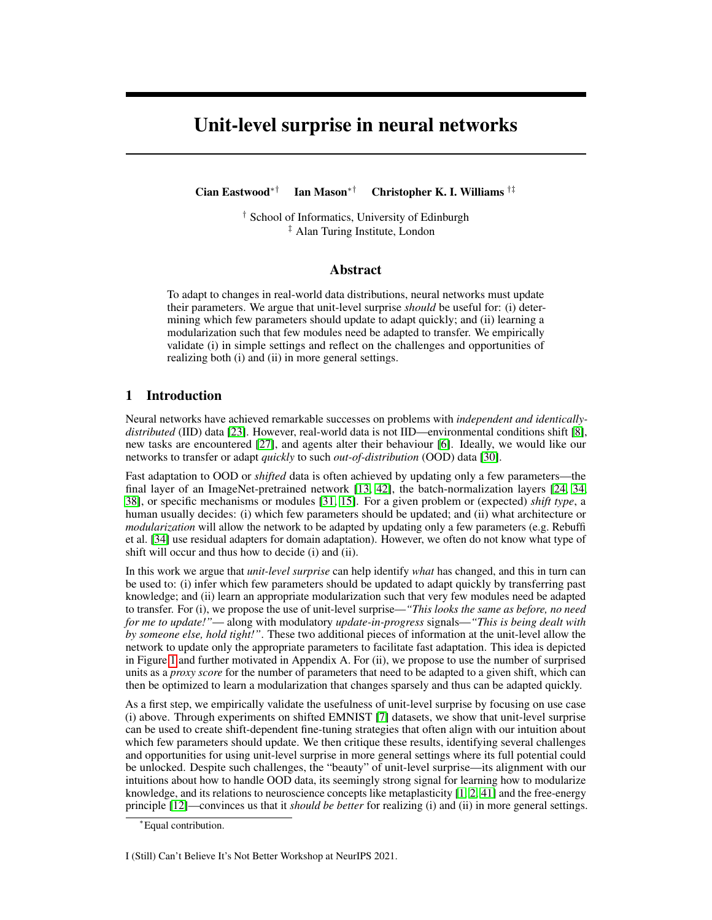# Unit-level surprise in neural networks

Cian Eastwood∗† Ian Mason∗† Christopher K. I. Williams †‡

† School of Informatics, University of Edinburgh ‡ Alan Turing Institute, London

#### Abstract

To adapt to changes in real-world data distributions, neural networks must update their parameters. We argue that unit-level surprise *should* be useful for: (i) determining which few parameters should update to adapt quickly; and (ii) learning a modularization such that few modules need be adapted to transfer. We empirically validate (i) in simple settings and reflect on the challenges and opportunities of realizing both (i) and (ii) in more general settings.

### 1 Introduction

Neural networks have achieved remarkable successes on problems with *independent and identicallydistributed* (IID) data [\[23\]](#page-6-0). However, real-world data is not IID—environmental conditions shift [\[8\]](#page-5-0), new tasks are encountered [\[27\]](#page-6-1), and agents alter their behaviour [\[6\]](#page-5-1). Ideally, we would like our networks to transfer or adapt *quickly* to such *out-of-distribution* (OOD) data [\[30\]](#page-6-2).

Fast adaptation to OOD or *shifted* data is often achieved by updating only a few parameters—the final layer of an ImageNet-pretrained network [\[13,](#page-5-2) [42\]](#page-7-0), the batch-normalization layers [\[24,](#page-6-3) [34,](#page-6-4) [38\]](#page-6-5), or specific mechanisms or modules [\[31,](#page-6-6) [15\]](#page-5-3). For a given problem or (expected) *shift type*, a human usually decides: (i) which few parameters should be updated; and (ii) what architecture or *modularization* will allow the network to be adapted by updating only a few parameters (e.g. Rebuffi et al. [\[34\]](#page-6-4) use residual adapters for domain adaptation). However, we often do not know what type of shift will occur and thus how to decide (i) and (ii).

In this work we argue that *unit-level surprise* can help identify *what* has changed, and this in turn can be used to: (i) infer which few parameters should be updated to adapt quickly by transferring past knowledge; and (ii) learn an appropriate modularization such that very few modules need be adapted to transfer. For (i), we propose the use of unit-level surprise—*"This looks the same as before, no need for me to update!"*— along with modulatory *update-in-progress* signals—*"This is being dealt with by someone else, hold tight!"*. These two additional pieces of information at the unit-level allow the network to update only the appropriate parameters to facilitate fast adaptation. This idea is depicted in Figure [1](#page-1-0) and further motivated in Appendix A. For (ii), we propose to use the number of surprised units as a *proxy score* for the number of parameters that need to be adapted to a given shift, which can then be optimized to learn a modularization that changes sparsely and thus can be adapted quickly.

As a first step, we empirically validate the usefulness of unit-level surprise by focusing on use case (i) above. Through experiments on shifted EMNIST [\[7\]](#page-5-4) datasets, we show that unit-level surprise can be used to create shift-dependent fine-tuning strategies that often align with our intuition about which few parameters should update. We then critique these results, identifying several challenges and opportunities for using unit-level surprise in more general settings where its full potential could be unlocked. Despite such challenges, the "beauty" of unit-level surprise—its alignment with our intuitions about how to handle OOD data, its seemingly strong signal for learning how to modularize knowledge, and its relations to neuroscience concepts like metaplasticity [\[1,](#page-5-5) [2,](#page-5-6) [41\]](#page-7-1) and the free-energy principle [\[12\]](#page-5-7)—convinces us that it *should be better* for realizing (i) and (ii) in more general settings.

I (Still) Can't Believe It's Not Better Workshop at NeurIPS 2021.

<sup>∗</sup>Equal contribution.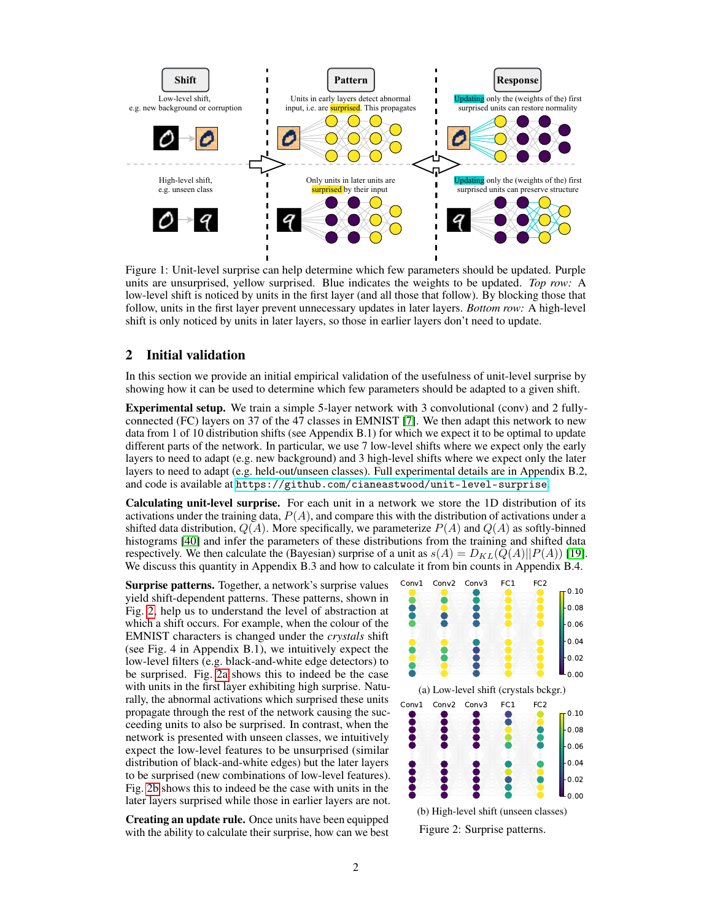<span id="page-1-0"></span>

Figure 1: Unit-level surprise can help determine which few parameters should be updated. Purple units are unsurprised, yellow surprised. Blue indicates the weights to be updated. *Top row:* A low-level shift is noticed by units in the first layer (and all those that follow). By blocking those that follow, units in the first layer prevent unnecessary updates in later layers. *Bottom row:* A high-level shift is only noticed by units in later layers, so those in earlier layers don't need to update.

### 2 Initial validation

In this section we provide an initial empirical validation of the usefulness of unit-level surprise by showing how it can be used to determine which few parameters should be adapted to a given shift.

Experimental setup. We train a simple 5-layer network with 3 convolutional (conv) and 2 fullyconnected (FC) layers on 37 of the 47 classes in EMNIST [\[7\]](#page-5-4). We then adapt this network to new data from 1 of 10 distribution shifts (see Appendix B.1) for which we expect it to be optimal to update different parts of the network. In particular, we use 7 low-level shifts where we expect only the early layers to need to adapt (e.g. new background) and 3 high-level shifts where we expect only the later layers to need to adapt (e.g. held-out/unseen classes). Full experimental details are in Appendix B.2, and code is available at <https://github.com/cianeastwood/unit-level-surprise>.

Calculating unit-level surprise. For each unit in a network we store the 1D distribution of its activations under the training data,  $P(A)$ , and compare this with the distribution of activations under a shifted data distribution,  $Q(A)$ . More specifically, we parameterize  $P(A)$  and  $Q(A)$  as softly-binned histograms [\[40\]](#page-7-2) and infer the parameters of these distributions from the training and shifted data respectively. We then calculate the (Bayesian) surprise of a unit as  $s(A) = D_{KL}(Q(A)||P(A))$  [\[19\]](#page-6-7). We discuss this quantity in Appendix B.3 and how to calculate it from bin counts in Appendix B.4.

Surprise patterns. Together, a network's surprise values yield shift-dependent patterns. These patterns, shown in Fig. [2,](#page-1-1) help us to understand the level of abstraction at which a shift occurs. For example, when the colour of the EMNIST characters is changed under the *crystals* shift (see Fig. 4 in Appendix B.1), we intuitively expect the low-level filters (e.g. black-and-white edge detectors) to be surprised. Fig. [2a](#page-1-1) shows this to indeed be the case with units in the first layer exhibiting high surprise. Naturally, the abnormal activations which surprised these units propagate through the rest of the network causing the succeeding units to also be surprised. In contrast, when the network is presented with unseen classes, we intuitively expect the low-level features to be unsurprised (similar distribution of black-and-white edges) but the later layers to be surprised (new combinations of low-level features). Fig. [2b](#page-1-1) shows this to indeed be the case with units in the later layers surprised while those in earlier layers are not.

Creating an update rule. Once units have been equipped with the ability to calculate their surprise, how can we best

<span id="page-1-1"></span>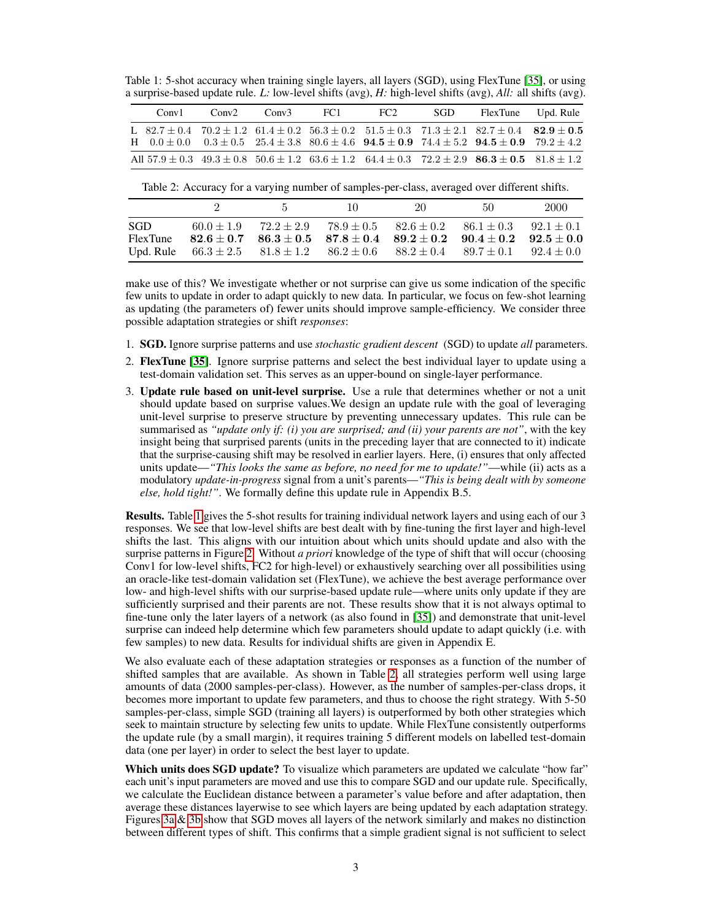<span id="page-2-0"></span>Table 1: 5-shot accuracy when training single layers, all layers (SGD), using FlexTune [\[35\]](#page-6-8), or using a surprise-based update rule. *L:* low-level shifts (avg), *H:* high-level shifts (avg), *All:* all shifts (avg).

| Convl | Conv2 | Conv3 | - FC 1 | FC2 | SGD | FlexTune Upd. Rule                                                                                                                                                                                                                                   |  |
|-------|-------|-------|--------|-----|-----|------------------------------------------------------------------------------------------------------------------------------------------------------------------------------------------------------------------------------------------------------|--|
|       |       |       |        |     |     | L $82.7 \pm 0.4$ $70.2 \pm 1.2$ $61.4 \pm 0.2$ $56.3 \pm 0.2$ $51.5 \pm 0.3$ $71.3 \pm 2.1$ $82.7 \pm 0.4$ $82.9 \pm 0.5$<br>H $0.0 \pm 0.0$ $0.3 \pm 0.5$ $25.4 \pm 3.8$ $80.6 \pm 4.6$ $94.5 \pm 0.9$ $74.4 \pm 5.2$ $94.5 \pm 0.9$ $79.2 \pm 4.2$ |  |
|       |       |       |        |     |     | All $57.9 \pm 0.3$ $49.3 \pm 0.8$ $50.6 \pm 1.2$ $63.6 \pm 1.2$ $64.4 \pm 0.3$ $72.2 \pm 2.9$ $86.3 \pm 0.5$ $81.8 \pm 1.2$                                                                                                                          |  |

<span id="page-2-1"></span>Table 2: Accuracy for a varying number of samples-per-class, averaged over different shifts.

|                                |              | $5 -$          | 10.                                                                                                                                                                                                                                                   | 20 | 50 | 2000 |
|--------------------------------|--------------|----------------|-------------------------------------------------------------------------------------------------------------------------------------------------------------------------------------------------------------------------------------------------------|----|----|------|
| -SGD-<br>FlexTune<br>Upd. Rule | $60.0 + 1.9$ | $72.2 \pm 2.9$ | $78.9 \pm 0.5$ $82.6 \pm 0.2$ $86.1 \pm 0.3$ $92.1 \pm 0.1$<br>$82.6 \pm 0.7$ $86.3 \pm 0.5$ $87.8 \pm 0.4$ $89.2 \pm 0.2$ $90.4 \pm 0.2$ $92.5 \pm 0.0$<br>$66.3 \pm 2.5$ $81.8 \pm 1.2$ $86.2 \pm 0.6$ $88.2 \pm 0.4$ $89.7 \pm 0.1$ $92.4 \pm 0.0$ |    |    |      |

make use of this? We investigate whether or not surprise can give us some indication of the specific few units to update in order to adapt quickly to new data. In particular, we focus on few-shot learning as updating (the parameters of) fewer units should improve sample-efficiency. We consider three possible adaptation strategies or shift *responses*:

- 1. SGD. Ignore surprise patterns and use *stochastic gradient descent* (SGD) to update *all* parameters.
- 2. FlexTune [\[35\]](#page-6-8). Ignore surprise patterns and select the best individual layer to update using a test-domain validation set. This serves as an upper-bound on single-layer performance.
- 3. Update rule based on unit-level surprise. Use a rule that determines whether or not a unit should update based on surprise values.We design an update rule with the goal of leveraging unit-level surprise to preserve structure by preventing unnecessary updates. This rule can be summarised as *"update only if: (i) you are surprised; and (ii) your parents are not"*, with the key insight being that surprised parents (units in the preceding layer that are connected to it) indicate that the surprise-causing shift may be resolved in earlier layers. Here, (i) ensures that only affected units update—*"This looks the same as before, no need for me to update!"*—while (ii) acts as a modulatory *update-in-progress* signal from a unit's parents—*"This is being dealt with by someone else, hold tight!"*. We formally define this update rule in Appendix B.5.

Results. Table [1](#page-2-0) gives the 5-shot results for training individual network layers and using each of our 3 responses. We see that low-level shifts are best dealt with by fine-tuning the first layer and high-level shifts the last. This aligns with our intuition about which units should update and also with the surprise patterns in Figure [2.](#page-1-1) Without *a priori* knowledge of the type of shift that will occur (choosing Conv1 for low-level shifts, FC2 for high-level) or exhaustively searching over all possibilities using an oracle-like test-domain validation set (FlexTune), we achieve the best average performance over low- and high-level shifts with our surprise-based update rule—where units only update if they are sufficiently surprised and their parents are not. These results show that it is not always optimal to fine-tune only the later layers of a network (as also found in [\[35\]](#page-6-8)) and demonstrate that unit-level surprise can indeed help determine which few parameters should update to adapt quickly (i.e. with few samples) to new data. Results for individual shifts are given in Appendix E.

We also evaluate each of these adaptation strategies or responses as a function of the number of shifted samples that are available. As shown in Table [2,](#page-2-1) all strategies perform well using large amounts of data (2000 samples-per-class). However, as the number of samples-per-class drops, it becomes more important to update few parameters, and thus to choose the right strategy. With 5-50 samples-per-class, simple SGD (training all layers) is outperformed by both other strategies which seek to maintain structure by selecting few units to update. While FlexTune consistently outperforms the update rule (by a small margin), it requires training 5 different models on labelled test-domain data (one per layer) in order to select the best layer to update.

Which units does SGD update? To visualize which parameters are updated we calculate "how far" each unit's input parameters are moved and use this to compare SGD and our update rule. Specifically, we calculate the Euclidean distance between a parameter's value before and after adaptation, then average these distances layerwise to see which layers are being updated by each adaptation strategy. Figures [3a](#page-3-0)  $\&$  [3b](#page-3-0) show that SGD moves all layers of the network similarly and makes no distinction between different types of shift. This confirms that a simple gradient signal is not sufficient to select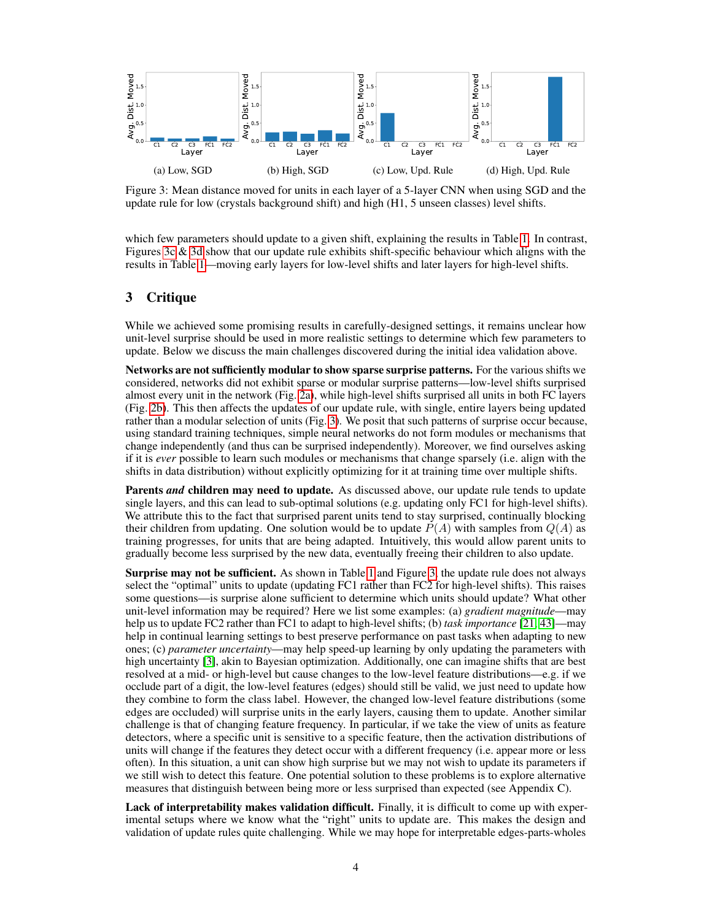<span id="page-3-0"></span>

Figure 3: Mean distance moved for units in each layer of a 5-layer CNN when using SGD and the update rule for low (crystals background shift) and high (H1, 5 unseen classes) level shifts.

which few parameters should update to a given shift, explaining the results in Table [1.](#page-2-0) In contrast, Figures [3c](#page-3-0)  $\&$  [3d](#page-3-0) show that our update rule exhibits shift-specific behaviour which aligns with the results in Table [1—](#page-2-0)moving early layers for low-level shifts and later layers for high-level shifts.

## 3 Critique

While we achieved some promising results in carefully-designed settings, it remains unclear how unit-level surprise should be used in more realistic settings to determine which few parameters to update. Below we discuss the main challenges discovered during the initial idea validation above.

Networks are not sufficiently modular to show sparse surprise patterns. For the various shifts we considered, networks did not exhibit sparse or modular surprise patterns—low-level shifts surprised almost every unit in the network (Fig. [2a\)](#page-1-1), while high-level shifts surprised all units in both FC layers (Fig. [2b\)](#page-1-1). This then affects the updates of our update rule, with single, entire layers being updated rather than a modular selection of units (Fig. [3\)](#page-3-0). We posit that such patterns of surprise occur because, using standard training techniques, simple neural networks do not form modules or mechanisms that change independently (and thus can be surprised independently). Moreover, we find ourselves asking if it is *ever* possible to learn such modules or mechanisms that change sparsely (i.e. align with the shifts in data distribution) without explicitly optimizing for it at training time over multiple shifts.

**Parents** *and* children may need to update. As discussed above, our update rule tends to update single layers, and this can lead to sub-optimal solutions (e.g. updating only FC1 for high-level shifts). We attribute this to the fact that surprised parent units tend to stay surprised, continually blocking their children from updating. One solution would be to update  $P(A)$  with samples from  $Q(A)$  as training progresses, for units that are being adapted. Intuitively, this would allow parent units to gradually become less surprised by the new data, eventually freeing their children to also update.

Surprise may not be sufficient. As shown in Table [1](#page-2-0) and Figure [3,](#page-3-0) the update rule does not always select the "optimal" units to update (updating FC1 rather than FC2 for high-level shifts). This raises some questions—is surprise alone sufficient to determine which units should update? What other unit-level information may be required? Here we list some examples: (a) *gradient magnitude*—may help us to update FC2 rather than FC1 to adapt to high-level shifts; (b) *task importance* [\[21,](#page-6-9) [43\]](#page-7-3)—may help in continual learning settings to best preserve performance on past tasks when adapting to new ones; (c) *parameter uncertainty*—may help speed-up learning by only updating the parameters with high uncertainty [\[3\]](#page-5-8), akin to Bayesian optimization. Additionally, one can imagine shifts that are best resolved at a mid- or high-level but cause changes to the low-level feature distributions—e.g. if we occlude part of a digit, the low-level features (edges) should still be valid, we just need to update how they combine to form the class label. However, the changed low-level feature distributions (some edges are occluded) will surprise units in the early layers, causing them to update. Another similar challenge is that of changing feature frequency. In particular, if we take the view of units as feature detectors, where a specific unit is sensitive to a specific feature, then the activation distributions of units will change if the features they detect occur with a different frequency (i.e. appear more or less often). In this situation, a unit can show high surprise but we may not wish to update its parameters if we still wish to detect this feature. One potential solution to these problems is to explore alternative measures that distinguish between being more or less surprised than expected (see Appendix C).

Lack of interpretability makes validation difficult. Finally, it is difficult to come up with experimental setups where we know what the "right" units to update are. This makes the design and validation of update rules quite challenging. While we may hope for interpretable edges-parts-wholes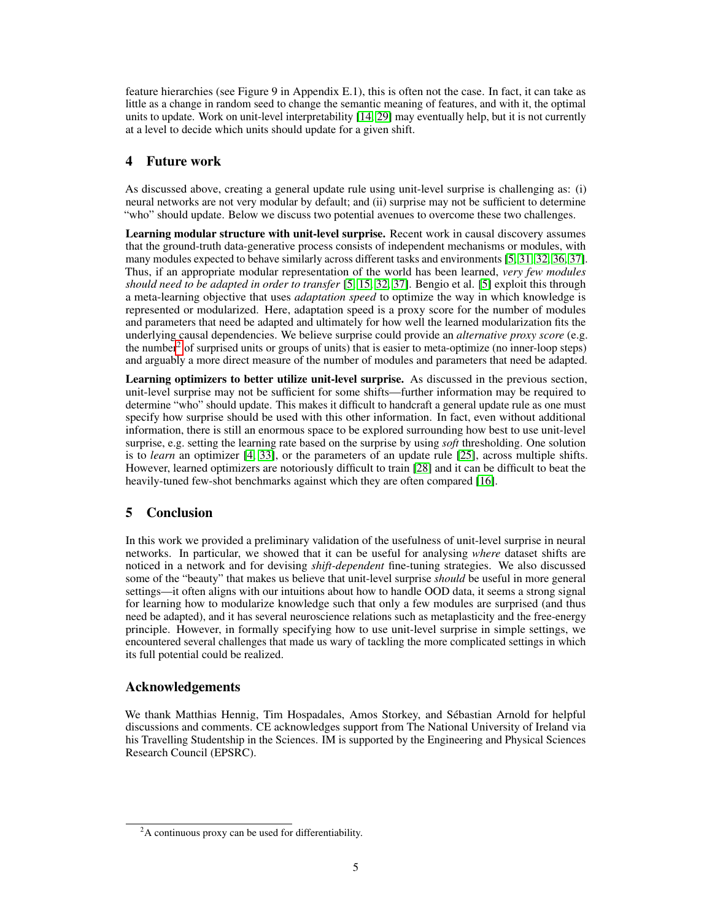feature hierarchies (see Figure 9 in Appendix E.1), this is often not the case. In fact, it can take as little as a change in random seed to change the semantic meaning of features, and with it, the optimal units to update. Work on unit-level interpretability [\[14,](#page-5-9) [29\]](#page-6-10) may eventually help, but it is not currently at a level to decide which units should update for a given shift.

## 4 Future work

As discussed above, creating a general update rule using unit-level surprise is challenging as: (i) neural networks are not very modular by default; and (ii) surprise may not be sufficient to determine "who" should update. Below we discuss two potential avenues to overcome these two challenges.

Learning modular structure with unit-level surprise. Recent work in causal discovery assumes that the ground-truth data-generative process consists of independent mechanisms or modules, with many modules expected to behave similarly across different tasks and environments [\[5,](#page-5-10) [31,](#page-6-6) [32,](#page-6-11) [36,](#page-6-12) [37\]](#page-6-13). Thus, if an appropriate modular representation of the world has been learned, *very few modules should need to be adapted in order to transfer* [\[5,](#page-5-10) [15,](#page-5-3) [32,](#page-6-11) [37\]](#page-6-13). Bengio et al. [\[5\]](#page-5-10) exploit this through a meta-learning objective that uses *adaptation speed* to optimize the way in which knowledge is represented or modularized. Here, adaptation speed is a proxy score for the number of modules and parameters that need be adapted and ultimately for how well the learned modularization fits the underlying causal dependencies. We believe surprise could provide an *alternative proxy score* (e.g. the number<sup>[2](#page-4-0)</sup> of surprised units or groups of units) that is easier to meta-optimize (no inner-loop steps) and arguably a more direct measure of the number of modules and parameters that need be adapted.

Learning optimizers to better utilize unit-level surprise. As discussed in the previous section, unit-level surprise may not be sufficient for some shifts—further information may be required to determine "who" should update. This makes it difficult to handcraft a general update rule as one must specify how surprise should be used with this other information. In fact, even without additional information, there is still an enormous space to be explored surrounding how best to use unit-level surprise, e.g. setting the learning rate based on the surprise by using *soft* thresholding. One solution is to *learn* an optimizer [\[4,](#page-5-11) [33\]](#page-6-14), or the parameters of an update rule [\[25\]](#page-6-15), across multiple shifts. However, learned optimizers are notoriously difficult to train [\[28\]](#page-6-16) and it can be difficult to beat the heavily-tuned few-shot benchmarks against which they are often compared [\[16\]](#page-5-12).

# 5 Conclusion

In this work we provided a preliminary validation of the usefulness of unit-level surprise in neural networks. In particular, we showed that it can be useful for analysing *where* dataset shifts are noticed in a network and for devising *shift-dependent* fine-tuning strategies. We also discussed some of the "beauty" that makes us believe that unit-level surprise *should* be useful in more general settings—it often aligns with our intuitions about how to handle OOD data, it seems a strong signal for learning how to modularize knowledge such that only a few modules are surprised (and thus need be adapted), and it has several neuroscience relations such as metaplasticity and the free-energy principle. However, in formally specifying how to use unit-level surprise in simple settings, we encountered several challenges that made us wary of tackling the more complicated settings in which its full potential could be realized.

# Acknowledgements

We thank Matthias Hennig, Tim Hospadales, Amos Storkey, and Sébastian Arnold for helpful discussions and comments. CE acknowledges support from The National University of Ireland via his Travelling Studentship in the Sciences. IM is supported by the Engineering and Physical Sciences Research Council (EPSRC).

<span id="page-4-0"></span> $2A$  continuous proxy can be used for differentiability.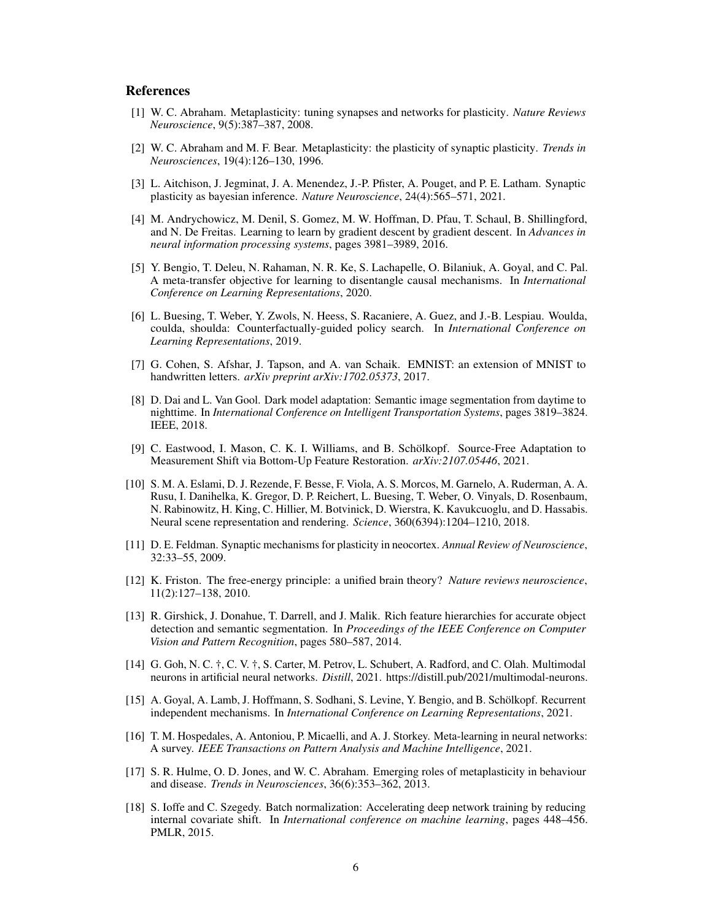## **References**

- <span id="page-5-5"></span>[1] W. C. Abraham. Metaplasticity: tuning synapses and networks for plasticity. *Nature Reviews Neuroscience*, 9(5):387–387, 2008.
- <span id="page-5-6"></span>[2] W. C. Abraham and M. F. Bear. Metaplasticity: the plasticity of synaptic plasticity. *Trends in Neurosciences*, 19(4):126–130, 1996.
- <span id="page-5-8"></span>[3] L. Aitchison, J. Jegminat, J. A. Menendez, J.-P. Pfister, A. Pouget, and P. E. Latham. Synaptic plasticity as bayesian inference. *Nature Neuroscience*, 24(4):565–571, 2021.
- <span id="page-5-11"></span>[4] M. Andrychowicz, M. Denil, S. Gomez, M. W. Hoffman, D. Pfau, T. Schaul, B. Shillingford, and N. De Freitas. Learning to learn by gradient descent by gradient descent. In *Advances in neural information processing systems*, pages 3981–3989, 2016.
- <span id="page-5-10"></span>[5] Y. Bengio, T. Deleu, N. Rahaman, N. R. Ke, S. Lachapelle, O. Bilaniuk, A. Goyal, and C. Pal. A meta-transfer objective for learning to disentangle causal mechanisms. In *International Conference on Learning Representations*, 2020.
- <span id="page-5-1"></span>[6] L. Buesing, T. Weber, Y. Zwols, N. Heess, S. Racaniere, A. Guez, and J.-B. Lespiau. Woulda, coulda, shoulda: Counterfactually-guided policy search. In *International Conference on Learning Representations*, 2019.
- <span id="page-5-4"></span>[7] G. Cohen, S. Afshar, J. Tapson, and A. van Schaik. EMNIST: an extension of MNIST to handwritten letters. *arXiv preprint arXiv:1702.05373*, 2017.
- <span id="page-5-0"></span>[8] D. Dai and L. Van Gool. Dark model adaptation: Semantic image segmentation from daytime to nighttime. In *International Conference on Intelligent Transportation Systems*, pages 3819–3824. IEEE, 2018.
- [9] C. Eastwood, I. Mason, C. K. I. Williams, and B. Schölkopf. Source-Free Adaptation to Measurement Shift via Bottom-Up Feature Restoration. *arXiv:2107.05446*, 2021.
- [10] S. M. A. Eslami, D. J. Rezende, F. Besse, F. Viola, A. S. Morcos, M. Garnelo, A. Ruderman, A. A. Rusu, I. Danihelka, K. Gregor, D. P. Reichert, L. Buesing, T. Weber, O. Vinyals, D. Rosenbaum, N. Rabinowitz, H. King, C. Hillier, M. Botvinick, D. Wierstra, K. Kavukcuoglu, and D. Hassabis. Neural scene representation and rendering. *Science*, 360(6394):1204–1210, 2018.
- [11] D. E. Feldman. Synaptic mechanisms for plasticity in neocortex. *Annual Review of Neuroscience*, 32:33–55, 2009.
- <span id="page-5-7"></span>[12] K. Friston. The free-energy principle: a unified brain theory? *Nature reviews neuroscience*, 11(2):127–138, 2010.
- <span id="page-5-2"></span>[13] R. Girshick, J. Donahue, T. Darrell, and J. Malik. Rich feature hierarchies for accurate object detection and semantic segmentation. In *Proceedings of the IEEE Conference on Computer Vision and Pattern Recognition*, pages 580–587, 2014.
- <span id="page-5-9"></span>[14] G. Goh, N. C. †, C. V. †, S. Carter, M. Petrov, L. Schubert, A. Radford, and C. Olah. Multimodal neurons in artificial neural networks. *Distill*, 2021. https://distill.pub/2021/multimodal-neurons.
- <span id="page-5-3"></span>[15] A. Goyal, A. Lamb, J. Hoffmann, S. Sodhani, S. Levine, Y. Bengio, and B. Schölkopf. Recurrent independent mechanisms. In *International Conference on Learning Representations*, 2021.
- <span id="page-5-12"></span>[16] T. M. Hospedales, A. Antoniou, P. Micaelli, and A. J. Storkey. Meta-learning in neural networks: A survey. *IEEE Transactions on Pattern Analysis and Machine Intelligence*, 2021.
- [17] S. R. Hulme, O. D. Jones, and W. C. Abraham. Emerging roles of metaplasticity in behaviour and disease. *Trends in Neurosciences*, 36(6):353–362, 2013.
- [18] S. Ioffe and C. Szegedy. Batch normalization: Accelerating deep network training by reducing internal covariate shift. In *International conference on machine learning*, pages 448–456. PMLR, 2015.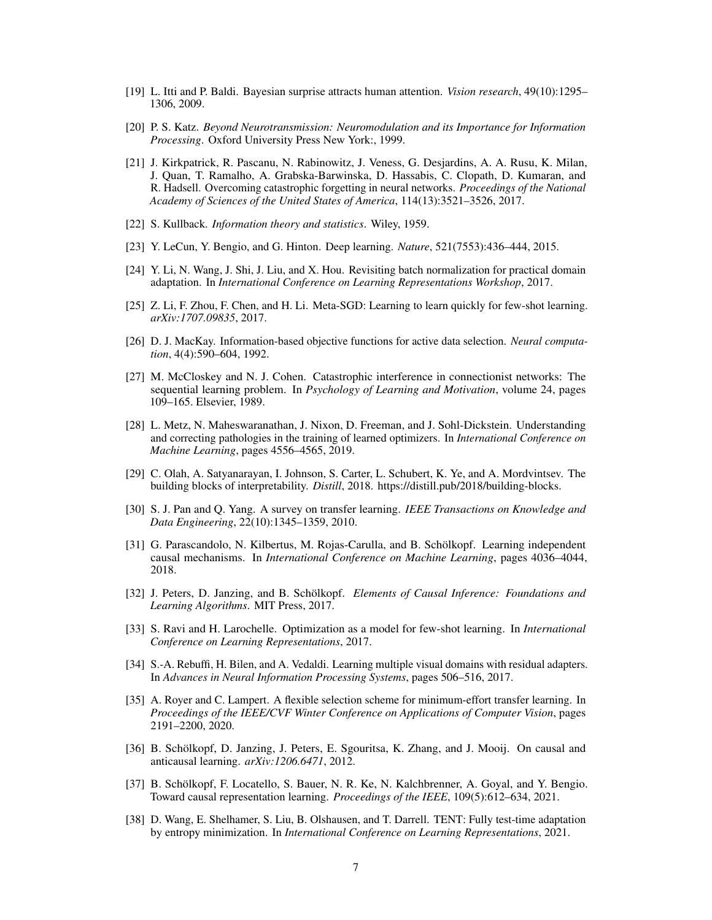- <span id="page-6-7"></span>[19] L. Itti and P. Baldi. Bayesian surprise attracts human attention. *Vision research*, 49(10):1295– 1306, 2009.
- [20] P. S. Katz. *Beyond Neurotransmission: Neuromodulation and its Importance for Information Processing*. Oxford University Press New York:, 1999.
- <span id="page-6-9"></span>[21] J. Kirkpatrick, R. Pascanu, N. Rabinowitz, J. Veness, G. Desjardins, A. A. Rusu, K. Milan, J. Quan, T. Ramalho, A. Grabska-Barwinska, D. Hassabis, C. Clopath, D. Kumaran, and R. Hadsell. Overcoming catastrophic forgetting in neural networks. *Proceedings of the National Academy of Sciences of the United States of America*, 114(13):3521–3526, 2017.
- [22] S. Kullback. *Information theory and statistics*. Wiley, 1959.
- <span id="page-6-0"></span>[23] Y. LeCun, Y. Bengio, and G. Hinton. Deep learning. *Nature*, 521(7553):436–444, 2015.
- <span id="page-6-3"></span>[24] Y. Li, N. Wang, J. Shi, J. Liu, and X. Hou. Revisiting batch normalization for practical domain adaptation. In *International Conference on Learning Representations Workshop*, 2017.
- <span id="page-6-15"></span>[25] Z. Li, F. Zhou, F. Chen, and H. Li. Meta-SGD: Learning to learn quickly for few-shot learning. *arXiv:1707.09835*, 2017.
- [26] D. J. MacKay. Information-based objective functions for active data selection. *Neural computation*, 4(4):590–604, 1992.
- <span id="page-6-1"></span>[27] M. McCloskey and N. J. Cohen. Catastrophic interference in connectionist networks: The sequential learning problem. In *Psychology of Learning and Motivation*, volume 24, pages 109–165. Elsevier, 1989.
- <span id="page-6-16"></span>[28] L. Metz, N. Maheswaranathan, J. Nixon, D. Freeman, and J. Sohl-Dickstein. Understanding and correcting pathologies in the training of learned optimizers. In *International Conference on Machine Learning*, pages 4556–4565, 2019.
- <span id="page-6-10"></span>[29] C. Olah, A. Satyanarayan, I. Johnson, S. Carter, L. Schubert, K. Ye, and A. Mordvintsev. The building blocks of interpretability. *Distill*, 2018. https://distill.pub/2018/building-blocks.
- <span id="page-6-2"></span>[30] S. J. Pan and Q. Yang. A survey on transfer learning. *IEEE Transactions on Knowledge and Data Engineering*, 22(10):1345–1359, 2010.
- <span id="page-6-6"></span>[31] G. Parascandolo, N. Kilbertus, M. Rojas-Carulla, and B. Schölkopf. Learning independent causal mechanisms. In *International Conference on Machine Learning*, pages 4036–4044, 2018.
- <span id="page-6-11"></span>[32] J. Peters, D. Janzing, and B. Schölkopf. *Elements of Causal Inference: Foundations and Learning Algorithms*. MIT Press, 2017.
- <span id="page-6-14"></span>[33] S. Ravi and H. Larochelle. Optimization as a model for few-shot learning. In *International Conference on Learning Representations*, 2017.
- <span id="page-6-4"></span>[34] S.-A. Rebuffi, H. Bilen, and A. Vedaldi. Learning multiple visual domains with residual adapters. In *Advances in Neural Information Processing Systems*, pages 506–516, 2017.
- <span id="page-6-8"></span>[35] A. Royer and C. Lampert. A flexible selection scheme for minimum-effort transfer learning. In *Proceedings of the IEEE/CVF Winter Conference on Applications of Computer Vision*, pages 2191–2200, 2020.
- <span id="page-6-12"></span>[36] B. Schölkopf, D. Janzing, J. Peters, E. Sgouritsa, K. Zhang, and J. Mooij. On causal and anticausal learning. *arXiv:1206.6471*, 2012.
- <span id="page-6-13"></span>[37] B. Schölkopf, F. Locatello, S. Bauer, N. R. Ke, N. Kalchbrenner, A. Goyal, and Y. Bengio. Toward causal representation learning. *Proceedings of the IEEE*, 109(5):612–634, 2021.
- <span id="page-6-5"></span>[38] D. Wang, E. Shelhamer, S. Liu, B. Olshausen, and T. Darrell. TENT: Fully test-time adaptation by entropy minimization. In *International Conference on Learning Representations*, 2021.